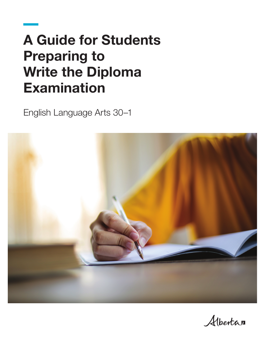# A Guide for Students Preparing to Write the Diploma Examination

English Language Arts 30–1



Albertan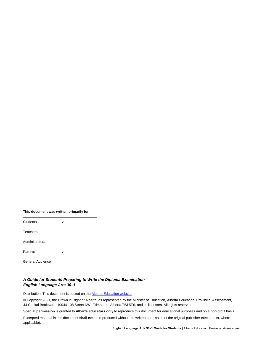| This document was written primarily for |  |
|-----------------------------------------|--|
| Students                                |  |
| Teachers                                |  |
| Administrators                          |  |
| Parents                                 |  |
| General Audience                        |  |

#### *A Guide for Students Preparing to Write the Diploma Examination English Language Arts 30–1*

L.

Distribution: This document is posted on th[e Alberta Education website.](https://www.alberta.ca/education.aspx)

© Copyright 2021, the Crown in Right of Alberta, as represented by the Minister of Education, Alberta Education, Provincial Assessment, 44 Capital Boulevard, 10044 108 Street NW, Edmonton, Alberta T5J 5E6, and its licensors. All rights reserved.

**Special permission** is granted to **Alberta educators only** to reproduce this document for educational purposes and on a non-profit basis.

Excerpted material in this document **shall not** be reproduced without the written permission of the original publisher (see credits, where applicable).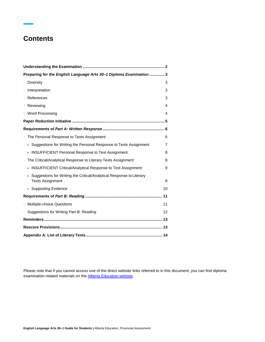# **Contents**

| Preparing for the English Language Arts 30-1 Diploma Examination 3                              |                |
|-------------------------------------------------------------------------------------------------|----------------|
| <b>Diversity</b>                                                                                | 3              |
| n Interpretation                                                                                | 3              |
| □ References                                                                                    | 3              |
| □ Reviewing                                                                                     | 4              |
| <b>U</b> Word Processing                                                                        | 4              |
|                                                                                                 |                |
|                                                                                                 |                |
| □ The Personal Response to Texts Assignment                                                     | 6              |
| Suggestions for Writing the Personal Response to Texts Assignment                               | $\overline{7}$ |
| <b>INSUFFICIENT Personal Response to Text Assignment</b>                                        | 8              |
| The Critical/Analytical Response to Literary Texts Assignment<br>$\Box$                         | 8              |
| <b>INSUFFICIENT Critical/Analytical Response to Text Assignment</b>                             | 9              |
| Suggestions for Writing the Critical/Analytical Response to Literary<br><b>Texts Assignment</b> | 9              |
| • Supporting Evidence                                                                           | 10             |
|                                                                                                 |                |
| <b>D</b> Multiple-choice Questions                                                              | 11             |
| □ Suggestions for Writing Part B: Reading                                                       | 12             |
|                                                                                                 |                |
|                                                                                                 |                |
|                                                                                                 |                |

Please note that if you cannot access one of the direct website links referred to in this document, you can find diploma examination-related materials on th[e Alberta Education website.](https://www.alberta.ca/ministry-education.aspx)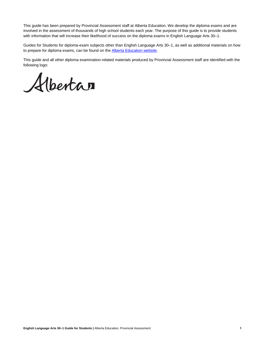This guide has been prepared by Provincial Assessment staff at Alberta Education. We develop the diploma exams and are involved in the assessment of thousands of high school students each year. The purpose of this guide is to provide students with information that will increase their likelihood of success on the diploma exams in English Language Arts 30–1.

Guides for Students for diploma-exam subjects other than English Language Arts 30–1, as well as additional materials on how to prepare for diploma exams, can be found on the **Alberta Education website**.

This guide and all other diploma examination-related materials produced by Provincial Assessment staff are identified with the following logo:

Alberta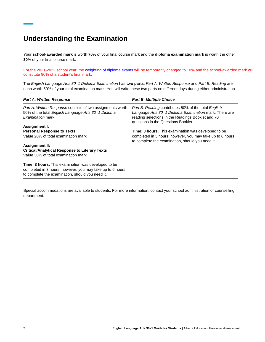# <span id="page-5-0"></span>**Understanding the Examination**

Your **school-awarded mark** is worth **70%** of your final course mark and the **diploma examination mark** is worth the other **30%** of your final course mark.

For the 2021-2022 school year, th[e weighting of diploma exams](https://www.alberta.ca/diploma-exams.aspx) will be temporarily changed to 10% and the school-awarded mark will constitute 90% of a student's final mark.

The *English Language Arts 30–1 Diploma Examination* has **two parts**. *Part A: Written Response* and *Part B: Reading* are each worth 50% of your total examination mark. You will write these two parts on different days during either administration.

| <b>Part A: Written Response</b>                                                                                                                                             | <b>Part B: Multiple Choice</b>                                                                                                                                                                             |
|-----------------------------------------------------------------------------------------------------------------------------------------------------------------------------|------------------------------------------------------------------------------------------------------------------------------------------------------------------------------------------------------------|
| Part A: Written Response consists of two assignments worth<br>50% of the total English Language Arts 30-1 Diploma<br>Examination mark.                                      | Part B: Reading contributes 50% of the total English<br>Language Arts 30-1 Diploma Examination mark. There are<br>reading selections in the Readings Booklet and 70<br>questions in the Questions Booklet. |
| Assignment I:                                                                                                                                                               |                                                                                                                                                                                                            |
| <b>Personal Response to Texts</b>                                                                                                                                           | <b>Time: 3 hours.</b> This examination was developed to be                                                                                                                                                 |
| Value 20% of total examination mark                                                                                                                                         | completed in 3 hours; however, you may take up to 6 hours<br>to complete the examination, should you need it.                                                                                              |
| <b>Assignment II:</b>                                                                                                                                                       |                                                                                                                                                                                                            |
| <b>Critical/Analytical Response to Literary Texts</b>                                                                                                                       |                                                                                                                                                                                                            |
| Value 30% of total examination mark                                                                                                                                         |                                                                                                                                                                                                            |
| <b>Time: 3 hours.</b> This examination was developed to be<br>completed in 3 hours; however, you may take up to 6 hours<br>to complete the examination, should you need it. |                                                                                                                                                                                                            |

Special accommodations are available to students. For more information, contact your school administration or counselling department.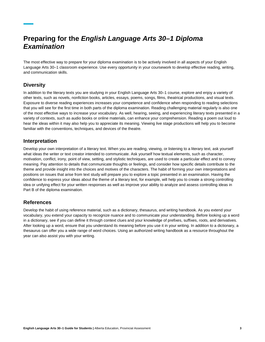# <span id="page-6-0"></span>**Preparing for the** *English Language Arts 30–1 Diploma Examination*

The most effective way to prepare for your diploma examination is to be actively involved in all aspects of your English Language Arts 30–1 classroom experience. Use every opportunity in your coursework to develop effective reading, writing, and communication skills.

# <span id="page-6-1"></span>**Diversity**

In addition to the literary texts you are studying in your English Language Arts 30–1 course, explore and enjoy a variety of other texts, such as novels, nonfiction books, articles, essays, poems, songs, films, theatrical productions, and visual texts. Exposure to diverse reading experiences increases your competence and confidence when responding to reading selections that you will see for the first time in both parts of the diploma examination. Reading challenging material regularly is also one of the most effective ways to increase your vocabulary. As well, hearing, seeing, and experiencing literary texts presented in a variety of contexts, such as audio books or online materials, can enhance your comprehension. Reading a poem out loud to hear the ideas within it may also help you to appreciate its meaning. Viewing live stage productions will help you to become familiar with the conventions, techniques, and devices of the theatre.

## <span id="page-6-2"></span>**Interpretation**

Develop your own interpretation of a literary text. When you are reading, viewing, or listening to a literary text, ask yourself what ideas the writer or text creator intended to communicate. Ask yourself how textual elements, such as character, motivation, conflict, irony, point of view, setting, and stylistic techniques, are used to create a particular effect and to convey meaning. Pay attention to details that communicate thoughts or feelings, and consider how specific details contribute to the theme and provide insight into the choices and motives of the characters. The habit of forming your own interpretations and positions on issues that arise from text study will prepare you to explore a topic presented in an examination. Having the confidence to express your ideas about the theme of a literary text, for example, will help you to create a strong controlling idea or unifying effect for your written responses as well as improve your ability to analyze and assess controlling ideas in Part B of the diploma examination.

## <span id="page-6-3"></span>**References**

Develop the habit of using reference material, such as a dictionary, thesaurus, and writing handbook. As you extend your vocabulary, you extend your capacity to recognize nuance and to communicate your understanding. Before looking up a word in a dictionary, see if you can define it through context clues and your knowledge of prefixes, suffixes, roots, and derivatives. After looking up a word, ensure that you understand its meaning before you use it in your writing. In addition to a dictionary, a thesaurus can offer you a wide range of word choices. Using an authorized writing handbook as a resource throughout the year can also assist you with your writing.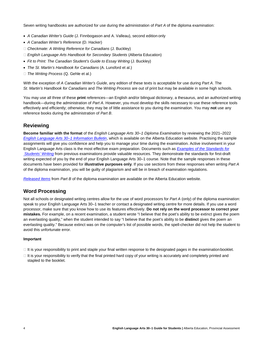Seven writing handbooks are authorized for use during the administration of *Part A* of the diploma examination:

- *A Canadian Writer's Guide* (J. Finnbogason and A. Valleau), second edition only
- *A Canadian Writer's Reference* (D. Hacker)
- *Checkmate: A Writing Reference for Canadians* (J. Buckley)
- □ *English Language Arts Handbook for Secondary Students* (Alberta Education)
- Fit to Print: The Canadian Student's Guide to Essay Writing (J. Buckley)
- *The St. Martin's Handbook for Canadians* (A. Lunsford et al.)
- *The Writing Process* (Q. Gehle et al.)

With the exception of *A Canadian Writer's Guide*, any edition of these texts is acceptable for use during *Part A*. The *St. Martin's Handbook for Canadians* and *The Writing Process* are out of print but may be available in some high schools.

You may use all three of these **print** references—an English and/or bilingual dictionary, a thesaurus, and an authorized writing handbook—during the administration of *Part A*. However, you must develop the skills necessary to use these reference tools effectively and efficiently; otherwise, they may be of little assistance to you during the examination. You may **not** use any reference books during the administration of *Part B*.

# <span id="page-7-0"></span>**Reviewing**

**Become familiar with the format** of the *English Language Arts 30–1 Diploma Examination* by reviewing the 2021–2022 *[English Language Arts 30–1 Information Bulletin](https://www.alberta.ca/writing-diploma-exams.aspx#toc-3)*, which is available on the Alberta Education website. Practising the sample assignments will give you confidence and help you to manage your time during the examination. Active involvement in your English Language Arts class is the most effective exam preparation. Documents such as *[Examples of the Standards for](https://www.alberta.ca/writing-diploma-exams.aspx#toc-2) [Students' Writing](https://www.alberta.ca/writing-diploma-exams.aspx#toc-2)* from previous examinations provide valuable resources. They demonstrate the standards for first-draft writing expected of you by the end of your English Language Arts 30–1 course. Note that the sample responses in these documents have been provided for **illustrative purposes only**. If you use sections from these responses when writing *Part A*  of the diploma examination, you will be guilty of plagiarism and will be in breach of examination regulations.

*[Released Items](https://www.alberta.ca/writing-diploma-exams.aspx#toc-3)* from *Part B* of the diploma examination are available on the Alberta Education website.

## <span id="page-7-1"></span>**Word Processing**

Not all schools or designated writing centres allow for the use of word processors for *Part A* (only) of the diploma examination: speak to your English Language Arts 30–1 teacher or contact a designated writing centre for more details. If you use a word processor, make sure that you know how to use its features effectively. **Do not rely on the word processor to correct your mistakes.** For example, on a recent examination, a student wrote "I believe that the poet's ability to be extinct gives the poem an everlasting quality," when the student intended to say "I believe that the poet's ability to be **distinct** gives the poem an everlasting quality." Because extinct was on the computer's list of possible words, the spell-checker did not help the student to avoid this unfortunate error.

#### **Important**

- $\Box$  It is your responsibility to print and staple your final written response to the designated pages in the examination booklet.
- $\Box$  It is your responsibility to verify that the final printed hard copy of your writing is accurately and completely printed and stapled to the booklet.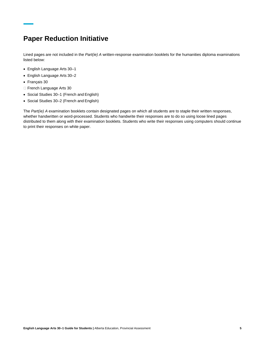# <span id="page-8-0"></span>**Paper Reduction Initiative**

Lined pages are not included in the *Part(ie) A* written-response examination booklets for the humanities diploma examinations listed below:

- English Language Arts 30–1
- English Language Arts 30–2
- Français 30
- □ French Language Arts 30
- Social Studies 30–1 (French and English)
- Social Studies 30–2 (French and English)

The *Part(ie) A* examination booklets contain designated pages on which all students are to staple their written responses, whether handwritten or word-processed. Students who handwrite their responses are to do so using loose lined pages distributed to them along with their examination booklets. Students who write their responses using computers should continue to print their responses on white paper.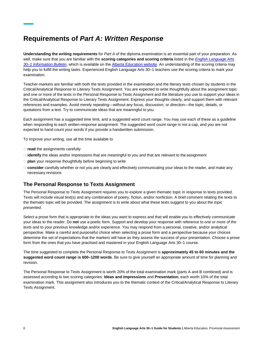# <span id="page-9-0"></span>**Requirements of** *Part A: Written Response*

**Understanding the writing requirements** for *Part A* of the diploma examination is an essential part of your preparation. As well, make sure that you are familiar with the **scoring categories and scoring criteria** listed in the *[English Language Arts](https://www.alberta.ca/writing-diploma-exams.aspx#toc-3) [30–1 Information Bulletin](https://www.alberta.ca/writing-diploma-exams.aspx#toc-3)*, which is available on th[e Alberta Education website. A](https://www.alberta.ca/education.aspx)n understanding of the scoring criteria may help you to fulfill the writing tasks. Experienced English Language Arts 30–1 teachers use the scoring criteria to mark your examination.

Teacher-markers are familiar with both the texts provided in the examination and the literary texts chosen by students in the Critical/Analytical Response to Literary Texts Assignment. You are expected to write thoughtfully about the assignment topic and one or more of the texts in the Personal Response to Texts Assignment and the literature you use to support your ideas in the Critical/Analytical Response to Literary Texts Assignment. Express your thoughts clearly, and support them with relevant references and examples. Avoid merely repeating—without any focus, discussion, or direction—the topic, details, or quotations from a text. Try to communicate ideas that are meaningful to you.

Each assignment has a suggested time limit, and a suggested word count range. You may use each of these as a guideline when responding to each written-response assignment. The suggested word count range is not a cap, and you are not expected to hand count your words if you provide a handwritten submission.

To improve your writing, use all the time available to

- □ **read** the assignments carefully
- □ **identify** the ideas and/or impressions that are meaningful to you and that are relevant to the assignment
- **plan** your response thoughtfully before beginning to write
- **consider** carefully whether or not you are clearly and effectively communicating your ideas to the reader, and make any necessary revisions

## <span id="page-9-1"></span>**The Personal Response to Texts Assignment**

The Personal Response to Texts Assignment requires you to explore a given thematic topic in response to texts provided. Texts will include visual text(s) and any combination of poetry, fiction, and/or nonfiction. A brief comment relating the texts to the thematic topic will be provided. The assignment is to write about what these texts suggest to you about *the topic presented*.

Select a prose form that is appropriate to the ideas you want to express and that will enable you to effectively communicate your ideas to the reader. Do **not** use a poetic form. Support and develop your response with reference to *one or more of the texts* and to your previous knowledge and/or experience. You may respond from a personal, creative, and/or analytical perspective. Make a careful and purposeful choice when selecting a prose form and a perspective because your choices determine the set of expectations that the markers will have as they assess the success of your presentation. Choose a prose form from the ones that you have practised and mastered in your English Language Arts 30–1 course.

The time suggested to complete the Personal Response to Texts Assignment is **approximately 45 to 60 minutes and the suggested word count range is 600–1200 words**. Be sure to give yourself an appropriate amount of time for planning and revision.

The Personal Response to Texts Assignment is worth 20% of the total examination mark (parts A and B combined) and is assessed according to two scoring categories: **Ideas and Impressions** and **Presentation**, each worth 10% of the total examination mark. This assignment also introduces you to the thematic context of the Critical/Analytical Response to Literary Texts Assignment.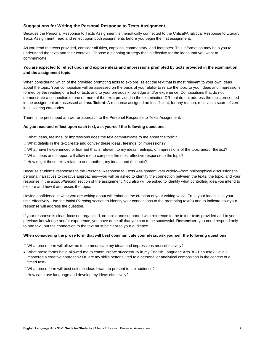### <span id="page-10-0"></span>**Suggestions for Writing the Personal Response to Texts Assignment**

Because the Personal Response to Texts Assignment is thematically connected to the Critical/Analytical Response to Literary Texts Assignment, read and reflect upon both assignments before you begin the first assignment.

As you read the texts provided, consider all titles, captions, commentary, and footnotes. This information may help you to understand the texts and their contexts. Choose a planning strategy that is effective for the ideas that you want to communicate.

#### **You are expected to reflect upon and explore ideas and impressions prompted by texts provided in the examination and the assignment topic.**

When considering which of the provided prompting texts to explore, select the text that is most relevant to your own ideas about the topic. Your composition will be assessed on the basis of your ability to relate the topic to your ideas and impressions formed by the reading of a text or texts and to your previous knowledge and/or experience. Compositions that do not demonstrate a connection to one or more of the texts provided in the examination OR that do not address the topic presented in the assignment are assessed as **Insufficient**. A response assigned an Insufficient, for any reason, receives a score of zero in all scoring categories.

There is no prescribed answer or approach to the Personal Response to Texts Assignment.

#### **As you read and reflect upon each text, ask yourself the following questions:**

- $\Box$  What ideas, feelings, or impressions does the text communicate to me about the topic?
- $\Box$  What details in the text create and convey these ideas, feelings, or impressions?
- $\Box$  What have I experienced or learned that is relevant to my ideas, feelings, or impressions of the topic and/or thetext?
- $\Box$  What ideas and support will allow me to compose the most effective response to the topic?
- $\Box$  How might these texts relate to one another, my ideas, and the topic?

Because students' responses to the Personal Response to Texts Assignment vary widely—from philosophical discussions to personal narratives to creative approaches—you will be asked to identify the connection between the texts, the topic, and your response in the *Initial Planning* section of the assignment. You also will be asked to identify what controlling idea you intend to explore and how it addresses the topic.

Having confidence in what you are writing about will enhance the creation of your writing voice. Trust your ideas. Use your time effectively. Use the *Initial Planning* section to identify your connections to the prompting text(s) and to indicate how your response will address the question.

If your response is clear, focused, organized, on topic, and supported with reference to the text or texts provided and to your previous knowledge and/or experience, you have done all that you can to be successful. **Remember**, you need respond only to one text, but the connection to the text must be clear to your audience.

#### **When considering the prose form that will best communicate your ideas, ask yourself the following questions:**

 $\Box$  What prose form will allow me to communicate my ideas and impressions most effectively?

- What prose forms have allowed me to communicate successfully in my English Language Arts 30–1 course? Have I mastered a creative approach? Or, are my skills better suited to a personal or analytical composition in the context of a timed test?
- □ What prose form will best suit the ideas I want to present to the audience?
- $\Box$  How can I use language and develop my ideas effectively?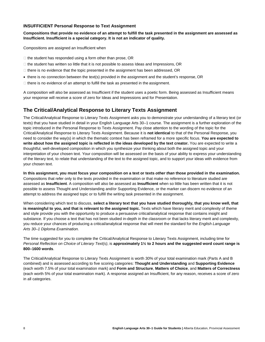## <span id="page-11-0"></span>**INSUFFICIENT Personal Response to Text Assignment**

#### **Compositions that provide no evidence of an attempt to fulfill the task presented in the assignment are assessed as Insufficient. Insufficient is a special category. It is not an indicator of quality.**

Compositions are assigned an Insufficient when

- $\Box$  the student has responded using a form other than prose, OR
- $\Box$  the student has written so little that it is not possible to assess Ideas and Impressions, OR
- $\Box$  there is no evidence that the topic presented in the assignment has been addressed, OR
- there is no connection between the text(s) provided in the assignment and the student's response, OR
- $\Box$  there is no evidence of an attempt to fulfill the task as presented in the assignment.

A composition will also be assessed as Insufficient if the student uses a poetic form. Being assessed as Insufficient means your response will receive a score of zero for Ideas and Impressions and for Presentation.

## <span id="page-11-1"></span>**The Critical/Analytical Response to Literary Texts Assignment**

The Critical/Analytical Response to Literary Texts Assignment asks you to demonstrate your understanding of a literary text (or texts) that you have studied in detail in your English Language Arts 30–1 course. The assignment is a further exploration of the topic introduced in the Personal Response to Texts Assignment. Pay close attention to the wording of the topic for the Critical/Analytical Response to Literary Texts Assignment. Because it is **not identical** to that of the Personal Response, you need to consider the way(s) in which the thematic context has been reframed for a more specific focus. **You are expected to write about how the assigned topic is reflected in the ideas developed by the text creator.** You are expected to write a thoughtful, well-developed composition in which you synthesize your thinking about both the assigned topic and your interpretation of your chosen text. Your composition will be assessed on the basis of your ability to express your understanding of the literary text, to relate that understanding of the text to the assigned topic, and to support your ideas with evidence from your chosen text.

**In this assignment, you must focus your composition on a text or texts** *other than* **those provided in the examination.**  Compositions that refer only to the texts provided in the examination or that make no reference to literature studied are assessed as **Insufficient**. A composition will also be assessed as **Insufficient** when so little has been written that it is not possible to assess Thought and Understanding and/or Supporting Evidence, or the marker can discern no evidence of an attempt to address the assigned topic or to fulfill the writing task presented in the assignment.

When considering which text to discuss, **select a literary text that you have studied thoroughly, that you know well, that**  is meaningful to you, and that is relevant to the assigned topic. Texts which have literary merit and complexity of theme and style provide you with the opportunity to produce a persuasive critical/analytical response that contains insight and substance. If you choose a text that has not been studied in-depth in the classroom or that lacks literary merit and complexity, you reduce your chances of producing a critical/analytical response that will meet the standard for the *English Language Arts 30–1 Diploma Examination.*

The time suggested for you to complete the Critical/Analytical Response to Literary Texts Assignment, including time for *Personal Reflection on Choice of Literary Text(s)*, is **approximately 1½ to 2 hours and the suggested word count range is 800–1600 words**.

The Critical/Analytical Response to Literary Texts Assignment is worth 30% of your total examination mark (Parts A and B combined) and is assessed according to five scoring categories: **Thought and Understanding** and **Supporting Evidence**  (each worth 7.5% of your total examination mark) and **Form and Structure**, **Matters of Choice**, and **Matters of Correctness**  (each worth 5% of your total examination mark). A response assigned an Insufficient, for any reason, receives a score of zero in all categories.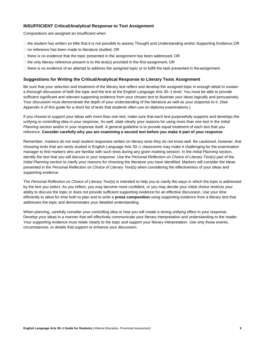## <span id="page-12-0"></span>**INSUFFICIENT Critical/Analytical Response to Text Assignment**

Compositions are assigned an Insufficient when

- $\Box$  the student has written so little that it is not possible to assess Thought and Understanding and/or Supporting Evidence, OR
- $\Box$  no reference has been made to literature studied, OR
- $\Box$  there is no evidence that the topic presented in the assignment has been addressed, OR
- $\Box$  the only literary reference present is to the text(s) provided in the first assignment, OR
- $\Box$  there is no evidence of an attempt to address the assigned topic or to fulfill the task presented in the assignment.

#### <span id="page-12-1"></span>**Suggestions for Writing the Critical/Analytical Response to Literary Texts Assignment**

Be sure that your selection and treatment of the literary text reflect and develop the assigned topic in enough detail to sustain a thorough discussion of both the topic and the text at the English Language Arts 30–1 level. You must be able to provide sufficient significant and relevant supporting evidence from your chosen text to illustrate your ideas logically and persuasively. Your discussion must demonstrate the depth of your understanding of the literature as well as your response to it. (See Appendix A of this guide for a short list of texts that students often use on diploma examinations.)

If you choose to support your ideas with more than one text, make sure that each text purposefully supports and develops the unifying or controlling idea in your response. As well, state clearly your reasons for using more than one text in the *Initial Planning* section and/or in your response itself. A general guideline is to provide equal treatment of each text that you reference. **Consider carefully why you are examining a second text before you make it part of your response**.

Remember, markers do not read student responses written on literary texts they do not know well. Be cautioned, however, that choosing texts that are rarely studied in English Language Arts 30–1 classrooms may make it challenging for the examination manager to find markers who are familiar with such texts during any given marking session. In the *Initial Planning* section, identify the text that you will discuss in your response. Use the *Personal Reflection on Choice of Literary Text(s)* part of the *Initial Planning* section to clarify your reasons for choosing the literature you have identified. Markers will consider the ideas presented in the *Personal Reflection on Choice of Literary Text(s)* when considering the effectiveness of your ideas and supporting evidence.

The *Personal Reflection on Choice of Literary Text(s)* is intended to help you to clarify the ways in which the topic is addressed by the text you select. As you reflect, you may become more confident, or you may decide your initial choice restricts your ability to discuss the topic or does not provide sufficient supporting evidence for an effective discussion. Use your time efficiently to allow for time both to plan and to write a **prose composition** using supporting evidence from a literary text that addresses the topic and demonstrates your detailed understanding.

When planning, carefully consider your controlling idea or how you will create a strong unifying effect in your response. Develop your ideas in a manner that will effectively communicate your literary interpretation and understanding to the reader. Your supporting evidence must relate clearly to the topic and support your literary interpretation. Use only those events, circumstances, or details that support or enhance your discussion.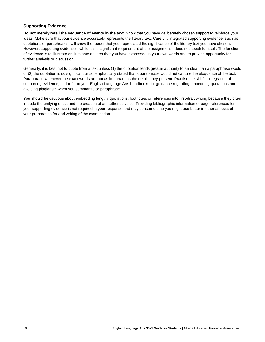## <span id="page-13-0"></span>**Supporting Evidence**

**Do not merely retell the sequence of events in the text.** Show that you have deliberately chosen support to reinforce your ideas. Make sure that your evidence accurately represents the literary text. Carefully integrated supporting evidence, such as quotations or paraphrases, will show the reader that you appreciated the significance of the literary text you have chosen. However, supporting evidence—while it is a significant requirement of the assignment—does not speak for itself. The function of evidence is to illustrate or illuminate an idea that you have expressed in your own words and to provide opportunity for further analysis or discussion.

Generally, it is best not to quote from a text unless (1) the quotation lends greater authority to an idea than a paraphrase would or (2) the quotation is so significant or so emphatically stated that a paraphrase would not capture the eloquence of the text. Paraphrase whenever the exact words are not as important as the details they present. Practise the skillfull integration of supporting evidence, and refer to your English Language Arts handbooks for guidance regarding embedding quotations and avoiding plagiarism when you summarize or paraphrase.

You should be cautious about embedding lengthy quotations, footnotes, or references into first-draft writing because they often impede the unifying effect and the creation of an authentic voice. Providing bibliographic information or page references for your supporting evidence is not required in your response and may consume time you might use better in other aspects of your preparation for and writing of the examination.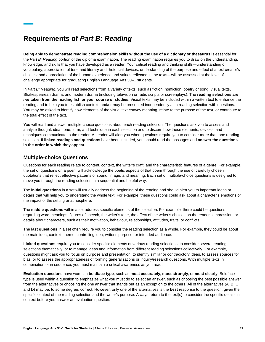# <span id="page-14-0"></span>**Requirements of** *Part B: Reading*

**Being able to demonstrate reading comprehension skills without the use of a dictionary or thesaurus** is essential for the *Part B: Reading* portion of the diploma examination. The reading examination requires you to draw on the understanding, knowledge, and skills that you have developed as a reader. Your critical reading and thinking skills—understanding of vocabulary; appreciation of tone and literary and rhetorical devices; understanding of the purpose and effect of a text creator's choices; and appreciation of the human experience and values reflected in the texts—will be assessed at the level of challenge appropriate for graduating English Language Arts 30–1 students.

In *Part B: Reading*, you will read selections from a variety of texts, such as fiction, nonfiction, poetry or song, visual texts, Shakespearean drama, and modern drama (including television or radio scripts or screenplays). The **reading selections are**  *not* **taken from the reading list for your course of studies.** Visual texts may be included within a written text to enhance the reading and to help you to establish context, and/or may be presented independently as a reading selection with questions. You may be asked to identify how elements of the visual text convey meaning, relate to the purpose of the text, or contribute to the total effect of the text.

You will read and answer multiple-choice questions about each reading selection. The questions ask you to assess and analyze thought, idea, tone, form, and technique in each selection and to discern how these elements, devices, and techniques communicate to the reader. A header will alert you when questions require you to consider more than one reading selection. If **linked readings and questions** have been included, you should read the passages and **answer the questions in the order in which they appear.**

## <span id="page-14-1"></span>**Multiple-choice Questions**

Questions for each reading relate to content, context, the writer's craft, and the characteristic features of a genre. For example, the set of questions on a poem will acknowledge the poetic aspects of that poem through the use of carefully chosen quotations that reflect effective patterns of sound, image, and meaning. Each set of multiple-choice questions is designed to move you through the reading selection in a sequential and helpful way.

The **initial questions** in a set will usually address the beginning of the reading and should alert you to important ideas or details that will help you to understand the whole text. For example, these questions could ask about a character's emotions or the impact of the setting or atmosphere.

The **middle questions** within a set address specific elements of the selection. For example, there could be questions regarding word meanings, figures of speech, the writer's tone, the effect of the writer's choices on the reader's impression, or details about characters, such as their motivation, behaviour, relationships, attitudes, traits, or conflicts.

The **last questions** in a set often require you to consider the reading selection as a whole. For example, they could be about the main idea, context, theme, controlling idea, writer's purpose, or intended audience.

**Linked questions** require you to consider specific elements of various reading selections, to consider several reading selections thematically, or to manage ideas and information from different reading selections collectively. For example, questions might ask you to focus on purpose and presentation, to identify similar or contradictory ideas, to assess sources for bias, or to assess the appropriateness of forming generalizations or inquiry/research questions. With multiple texts in combination or in sequence, you must maintain a critical awareness as you read.

**Evaluation questions** have words in **boldface type**, such as **most accurately**, **most strongly**, or **most clearly**. Boldface type is used within a question to emphasize what you must do to select an answer, such as choosing the best possible answer from the alternatives or choosing the one answer that stands out as an exception to the others. All of the alternatives (A, B, C, and D) may be, to some degree, correct. However, only one of the alternatives is the **best** response to the question, given the specific context of the reading selection and the writer's purpose. Always return to the text(s) to consider the specific details in context before you answer an evaluation question.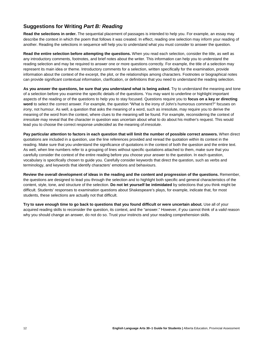# <span id="page-15-0"></span>**Suggestions for Writing** *Part B: Reading*

**Read the selections in order.** The sequential placement of passages is intended to help you. For example, an essay may describe the context in which the poem that follows it was created. In effect, reading one selection may inform your reading of another. Reading the selections in sequence will help you to understand what you must consider to answer the question.

**Read the entire selection before attempting the questions.** When you read each selection, consider the title, as well as any introductory comments, footnotes, and brief notes about the writer. This information can help you to understand the reading selection and may be required to answer one or more questions correctly. For example, the title of a selection may represent its main idea or theme. Introductory comments for a selection, written specifically for the examination, provide information about the context of the excerpt, the plot, or the relationships among characters. Footnotes or biographical notes can provide significant contextual information, clarification, or definitions that you need to understand the reading selection.

As you answer the questions, be sure that you understand what is being asked. Try to understand the meaning and tone of a selection before you examine the specific details of the questions. You may want to underline or highlight important aspects of the reading or of the questions to help you to stay focused. Questions require you to **focus on a key or directing word** to select the correct answer. For example, the question "What is the irony of John's humorous comment?" focuses on *irony*, not humour. As well, a question that asks the meaning of a word, such as irresolute, may require you to derive the meaning of the word from the context, where clues to the meaning will be found. For example, reconsidering the context of *irresolute* may reveal that the character in question was uncertain about what to do about his mother's request. This would lead you to choose the correct response *undecided* as the meaning of *irresolute*.

**Pay particular attention to factors in each question that will limit the number of possible correct answers.** When direct quotations are included in a question, use the line references provided and reread the quotation within its context in the reading. Make sure that you understand the significance of quotations in the context of both the question and the entire text. As well, when line numbers refer to a grouping of lines without specific quotations attached to them, make sure that you carefully consider the context of the entire reading before you choose your answer to the question. In each question, vocabulary is specifically chosen to guide you. Carefully consider keywords that direct the question, such as verbs and terminology, and keywords that identify characters' emotions and behaviours.

**Review the overall development of ideas in the reading and the content and progression of the questions.** Remember, the questions are designed to lead you through the selection and to highlight both specific and general characteristics of the content, style, tone, and structure of the selection. **Do not let yourself be intimidated** by selections that you think might be difficult. Students' responses to examination questions about Shakespeare's plays, for example, indicate that, for most students, these selections are actually not that difficult.

**Try to save enough time to go back to questions that you found difficult or were uncertain about.** Use all of your acquired reading skills to reconsider the question, its context, and the "answer." However, if you cannot think of a *valid* reason why you should change an answer, do not do so. Trust your instincts and your reading comprehension skills.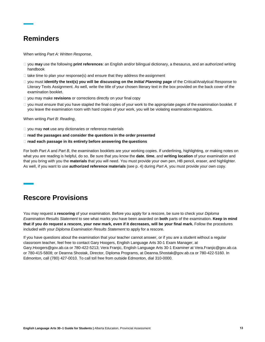# <span id="page-16-0"></span>**Reminders**

When writing *Part A: Written Response*,

- you **may** use the following **print references**: an English and/or bilingual dictionary, a thesaurus, and an authorized writing handbook
- $\Box$  take time to plan your response(s) and ensure that they address the assignment
- □ you must **identify the text(s) you will be discussing on the** *Initial Planning* **page of the Critical/Analytical Response to** Literary Texts Assignment. As well, write the title of your chosen literary text in the box provided on the back cover of the examination booklet.
- you may make **revisions** or corrections directly on your final copy
- □ you must ensure that you have stapled the final copies of your work to the appropriate pages of the examination booklet. If you leave the examination room with hard copies of your work, you will be violating examination regulations.

#### When writing *Part B: Reading*,

- you may **not** use any dictionaries or reference materials
- **read the passages and consider the questions in the order presented**
- **read each passage in its entirety before answering the questions**

For both *Part A* and *Part B*, the examination booklets are your working copies. If underlining, highlighting, or making notes on what you are reading is helpful, do so. Be sure that you know the **date**, **time**, and **writing location** of your examination and that you bring with you the **materials** that you will need. You must provide your own pen, HB pencil, eraser, and highlighter. As well, if you want to use **authorized reference materials** (see p. 4) during *Part A*, you must provide your own copy.

# <span id="page-16-1"></span>**Rescore Provisions**

You may request a **rescoring** of your examination. Before you apply for a rescore, be sure to check your *Diploma Examination Results Statement* to see what marks you have been awarded on **both** parts of the examination. **Keep in mind that if you do request a rescore, your new mark, even if it decreases, will be your final mark.** Follow the procedures included with your *Diploma Examination Results Statement* to apply for a rescore.

If you have questions about the examination that your teacher cannot answer, or if you are a student without a regular [classroom teacher, feel free to contact Gary Hoogers, English Language Arts 30-1 Exam Manager, at](mailto:Deanna.Shostak@gov.ab.ca)  [Gary.Hoogers@gov.ab.ca or 780-422-5213; Vera Franjic, English Language Arts 30-1 Examiner at Vera.Franjic@gov.ab.ca](mailto:Deanna.Shostak@gov.ab.ca)  [or 780-415-5808; or Deanna Shostak, Director, Diploma Programs, at Deanna.Shostak@gov.ab.ca or 780-422-5160. In](mailto:Deanna.Shostak@gov.ab.ca) Edmonton, call (780) 427-0010. To call toll free from outside Edmonton, dial 310-0000.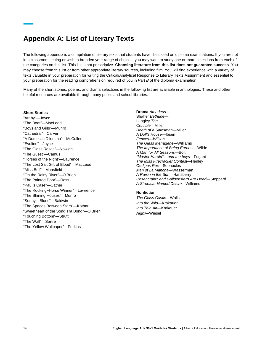# <span id="page-17-0"></span>**Appendix A: List of Literary Texts**

The following appendix is a compilation of literary texts that students have discussed on diploma examinations. If you are not in a classroom setting or wish to broaden your range of choices, you may want to study one or more selections from each of the categories on this list. This list is not prescriptive. **Choosing literature from this list does not guarantee success**. You may choose from this list or from other appropriate literary sources, including film. You will find experience with a variety of texts valuable in your preparation for writing the Critical/Analytical Response to Literary Texts Assignment and essential to your preparation for the reading comprehension required of you in *Part B* of the diploma examination.

Many of the short stories, poems, and drama selections in the following list are available in anthologies. These and other helpful resources are available through many public and school libraries.

#### **Short Stories**

"Araby"—Joyce "The Boat"—MacLeod "Boys and Girls"—Munro "Cathedral"—Carver "A Domestic Dilemma"—McCullers "Eveline"—Joyce "The Glass Roses"—Nowlan "The Guest"—Camus "Horses of the Night"—Laurence "The Lost Salt Gift of Blood"—MacLeod "Miss Brill"—Mansfield "On the Rainy River"—O'Brien "The Painted Door"—Ross "Paul's Case"—Cather "The Rocking−Horse Winner"—Lawrence "The Shining Houses"—Munro "Sonny's Blues"—Baldwin "The Spaces Between Stars"—Kothari "Sweetheart of the Song Tra Bong"—O'Brien "Touching Bottom"—Strutt "The Wall"—Sartre "The Yellow Wallpaper"—Perkins

**Drama** *Amadeus*— Shaffer *Bethune*— Langley *The Crucible*—Miller *Death of a Salesman*—Miller *A Doll's House*—Ibsen *Fences*—*Wilson The Glass Menagerie*—Williams *The Importance of Being Earnest*—Wilde *A Man for All Seasons*—Bolt *"Master Harold" ...and the boys*—Fugard *The Miss Firecracker Contest*—Henley *Oedipus Rex*—Sophocles *Man of La Mancha*—Wasserman *A Raisin in the Sun*—Hansberry *Rosencrantz and Guildenstern Are Dead*—Stoppard *A Streetcar Named Desire*—Williams

## **Nonfiction**

*The Glass Castle*—Walls *Into the Wild*—Krakauer *Into Thin Air*—Krakauer *Night*—Wiesel